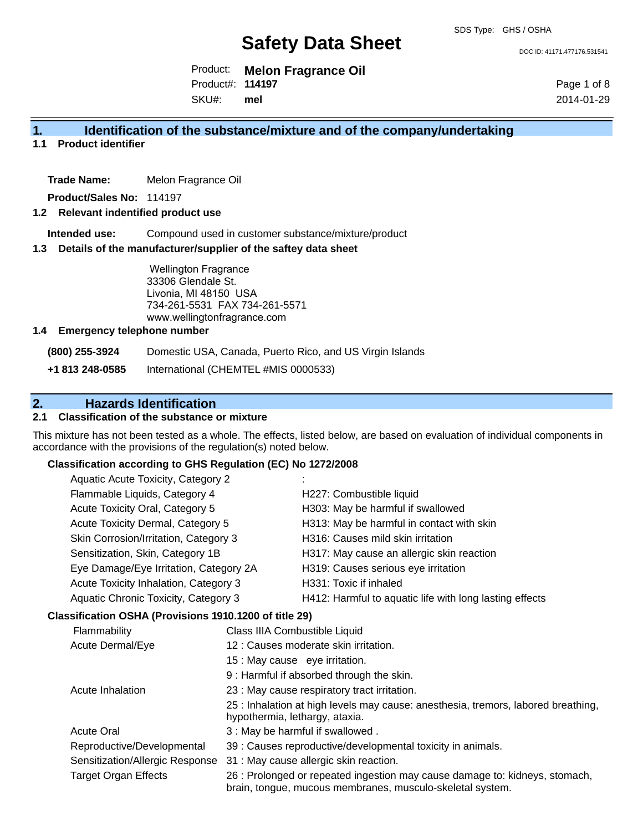DOC ID: 41171.477176.531541

Product: **Melon Fragrance Oil** Product#: **114197**

SKU#: **mel** Page 1 of 8 2014-01-29

# **1. Identification of the substance/mixture and of the company/undertaking**

**1.1 Product identifier**

**Trade Name:** Melon Fragrance Oil

**Product/Sales No:** 114197

#### **1.2 Relevant indentified product use**

**Intended use:** Compound used in customer substance/mixture/product

#### **1.3 Details of the manufacturer/supplier of the saftey data sheet**

Wellington Fragrance 33306 Glendale St. Livonia, MI 48150 USA 734-261-5531 FAX 734-261-5571 www.wellingtonfragrance.com

#### **1.4 Emergency telephone number**

**(800) 255-3924** Domestic USA, Canada, Puerto Rico, and US Virgin Islands

**+1 813 248-0585** International (CHEMTEL #MIS 0000533)

# **2. Hazards Identification**

# **2.1 Classification of the substance or mixture**

This mixture has not been tested as a whole. The effects, listed below, are based on evaluation of individual components in accordance with the provisions of the regulation(s) noted below.

### **Classification according to GHS Regulation (EC) No 1272/2008**

| Aquatic Acute Toxicity, Category 2                     |                               |                                                         |
|--------------------------------------------------------|-------------------------------|---------------------------------------------------------|
| Flammable Liquids, Category 4                          |                               | H227: Combustible liquid                                |
| Acute Toxicity Oral, Category 5                        |                               | H303: May be harmful if swallowed                       |
| Acute Toxicity Dermal, Category 5                      |                               | H313: May be harmful in contact with skin               |
| Skin Corrosion/Irritation, Category 3                  |                               | H316: Causes mild skin irritation                       |
| Sensitization, Skin, Category 1B                       |                               | H317: May cause an allergic skin reaction               |
| Eye Damage/Eye Irritation, Category 2A                 |                               | H319: Causes serious eye irritation                     |
| Acute Toxicity Inhalation, Category 3                  |                               | H331: Toxic if inhaled                                  |
| Aquatic Chronic Toxicity, Category 3                   |                               | H412: Harmful to aquatic life with long lasting effects |
| Classification OSHA (Provisions 1910.1200 of title 29) |                               |                                                         |
| Flammability                                           | Class IIIA Combustible Liquid |                                                         |
| Acute Dermal/Eye                                       |                               | 12 : Causes moderate skin irritation.                   |
|                                                        |                               |                                                         |

15 : May cause eye irritation.

9 : Harmful if absorbed through the skin.

Acute Inhalation 23 : May cause respiratory tract irritation.

25 : Inhalation at high levels may cause: anesthesia, tremors, labored breathing, hypothermia, lethargy, ataxia.

- Acute Oral 2012 13: May be harmful if swallowed .
- Reproductive/Developmental 39 : Causes reproductive/developmental toxicity in animals.
- Sensitization/Allergic Response 31 : May cause allergic skin reaction.

Target Organ Effects 26 : Prolonged or repeated ingestion may cause damage to: kidneys, stomach, brain, tongue, mucous membranes, musculo-skeletal system.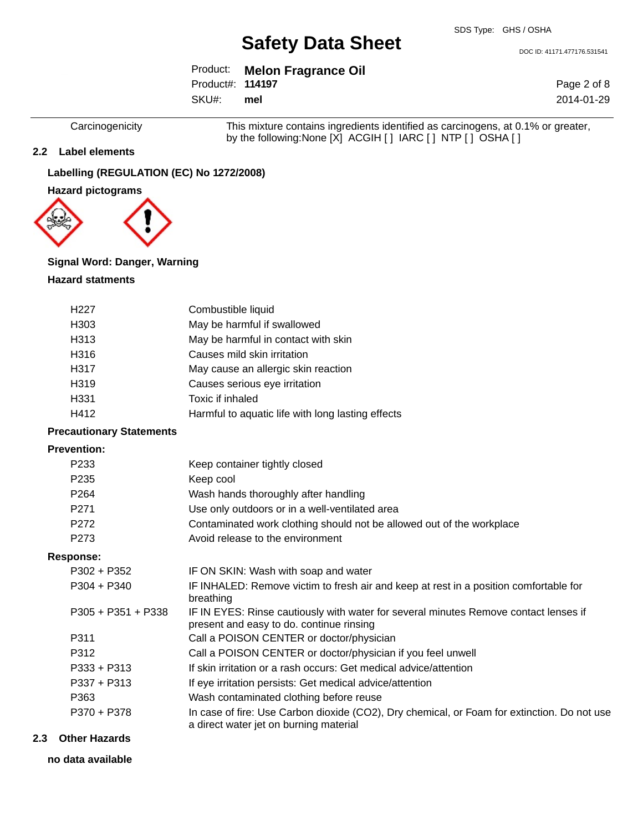DOC ID: 41171.477176.531541

Page 2 of 8 2014-01-29

Product: **Melon Fragrance Oil** Product#: **114197**

SKU#: **mel**

Carcinogenicity This mixture contains ingredients identified as carcinogens, at 0.1% or greater, by the following:None [X] ACGIH [ ] IARC [ ] NTP [ ] OSHA [ ]

### **2.2 Label elements**

# **Labelling (REGULATION (EC) No 1272/2008)**

**Hazard pictograms**



#### **Signal Word: Danger, Warning**

#### **Hazard statments**

| H <sub>227</sub> | Combustible liquid                                |
|------------------|---------------------------------------------------|
| H <sub>303</sub> | May be harmful if swallowed                       |
| H313             | May be harmful in contact with skin               |
| H316             | Causes mild skin irritation                       |
| H317             | May cause an allergic skin reaction               |
| H319             | Causes serious eye irritation                     |
| H331             | Toxic if inhaled                                  |
| H412             | Harmful to aquatic life with long lasting effects |

### **Precautionary Statements**

### **Prevention:**

| P <sub>233</sub>     | Keep container tightly closed                                                                                                         |
|----------------------|---------------------------------------------------------------------------------------------------------------------------------------|
| P <sub>235</sub>     | Keep cool                                                                                                                             |
| P <sub>264</sub>     | Wash hands thoroughly after handling                                                                                                  |
| P <sub>271</sub>     | Use only outdoors or in a well-ventilated area                                                                                        |
| P272                 | Contaminated work clothing should not be allowed out of the workplace                                                                 |
| P <sub>273</sub>     | Avoid release to the environment                                                                                                      |
| Response:            |                                                                                                                                       |
| $P302 + P352$        | IF ON SKIN: Wash with soap and water                                                                                                  |
| $P304 + P340$        | IF INHALED: Remove victim to fresh air and keep at rest in a position comfortable for<br>breathing                                    |
| $P305 + P351 + P338$ | IF IN EYES: Rinse cautiously with water for several minutes Remove contact lenses if<br>present and easy to do. continue rinsing      |
| P311                 | Call a POISON CENTER or doctor/physician                                                                                              |
| P312                 | Call a POISON CENTER or doctor/physician if you feel unwell                                                                           |
| $P333 + P313$        | If skin irritation or a rash occurs: Get medical advice/attention                                                                     |
| $P337 + P313$        | If eye irritation persists: Get medical advice/attention                                                                              |
| P363                 | Wash contaminated clothing before reuse                                                                                               |
| P370 + P378          | In case of fire: Use Carbon dioxide (CO2), Dry chemical, or Foam for extinction. Do not use<br>a direct water jet on burning material |

# **2.3 Other Hazards**

**no data available**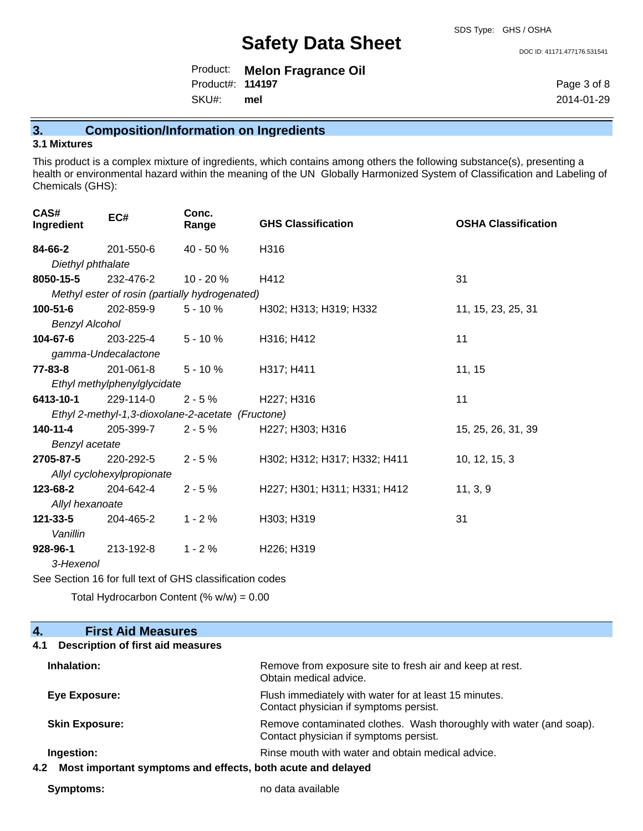DOC ID: 41171.477176.531541

Product: **Melon Fragrance Oil** SKU#: Product#: **114197 mel**

Page 3 of 8 2014-01-29

# **3. Composition/Information on Ingredients**

# **3.1 Mixtures**

This product is a complex mixture of ingredients, which contains among others the following substance(s), presenting a health or environmental hazard within the meaning of the UN Globally Harmonized System of Classification and Labeling of Chemicals (GHS):

| CAS#<br>Ingredient    | EC#                                               | Conc.<br>Range | <b>GHS Classification</b>    | <b>OSHA Classification</b> |
|-----------------------|---------------------------------------------------|----------------|------------------------------|----------------------------|
| 84-66-2               | 201-550-6                                         | 40 - 50 %      | H316                         |                            |
| Diethyl phthalate     |                                                   |                |                              |                            |
| 8050-15-5             | 232-476-2                                         | $10 - 20 \%$   | H412                         | 31                         |
|                       | Methyl ester of rosin (partially hydrogenated)    |                |                              |                            |
| 100-51-6              | 202-859-9                                         | $5 - 10%$      | H302; H313; H319; H332       | 11, 15, 23, 25, 31         |
| <b>Benzyl Alcohol</b> |                                                   |                |                              |                            |
| 104-67-6              | 203-225-4                                         | $5 - 10%$      | H316; H412                   | 11                         |
|                       | gamma-Undecalactone                               |                |                              |                            |
| $77 - 83 - 8$         | 201-061-8                                         | $5 - 10%$      | H317; H411                   | 11, 15                     |
|                       | Ethyl methylphenylglycidate                       |                |                              |                            |
| 6413-10-1             | 229-114-0                                         | $2 - 5%$       | H227; H316                   | 11                         |
|                       | Ethyl 2-methyl-1,3-dioxolane-2-acetate (Fructone) |                |                              |                            |
| 140-11-4              | 205-399-7                                         | $2 - 5%$       | H227; H303; H316             | 15, 25, 26, 31, 39         |
| Benzyl acetate        |                                                   |                |                              |                            |
| 2705-87-5             | 220-292-5                                         | $2 - 5%$       | H302; H312; H317; H332; H411 | 10, 12, 15, 3              |
|                       | Allyl cyclohexylpropionate                        |                |                              |                            |
| 123-68-2              | 204-642-4                                         | $2 - 5%$       | H227; H301; H311; H331; H412 | 11, 3, 9                   |
| Allyl hexanoate       |                                                   |                |                              |                            |
| $121 - 33 - 5$        | 204-465-2                                         | $1 - 2%$       | H303; H319                   | 31                         |
| Vanillin              |                                                   |                |                              |                            |
| 928-96-1              | 213-192-8                                         | $1 - 2%$       | H226; H319                   |                            |
| 3-Hexenol             |                                                   |                |                              |                            |

See Section 16 for full text of GHS classification codes

Total Hydrocarbon Content  $% w = 0.00$ 

| <b>First Aid Measures</b><br>4.                                    |                                                                                                               |
|--------------------------------------------------------------------|---------------------------------------------------------------------------------------------------------------|
| Description of first aid measures<br>4.1                           |                                                                                                               |
| Inhalation:                                                        | Remove from exposure site to fresh air and keep at rest.<br>Obtain medical advice.                            |
| Eye Exposure:                                                      | Flush immediately with water for at least 15 minutes.<br>Contact physician if symptoms persist.               |
| <b>Skin Exposure:</b>                                              | Remove contaminated clothes. Wash thoroughly with water (and soap).<br>Contact physician if symptoms persist. |
| Ingestion:                                                         | Rinse mouth with water and obtain medical advice.                                                             |
| Most important symptoms and effects, both acute and delayed<br>4.2 |                                                                                                               |

**Symptoms:** no data available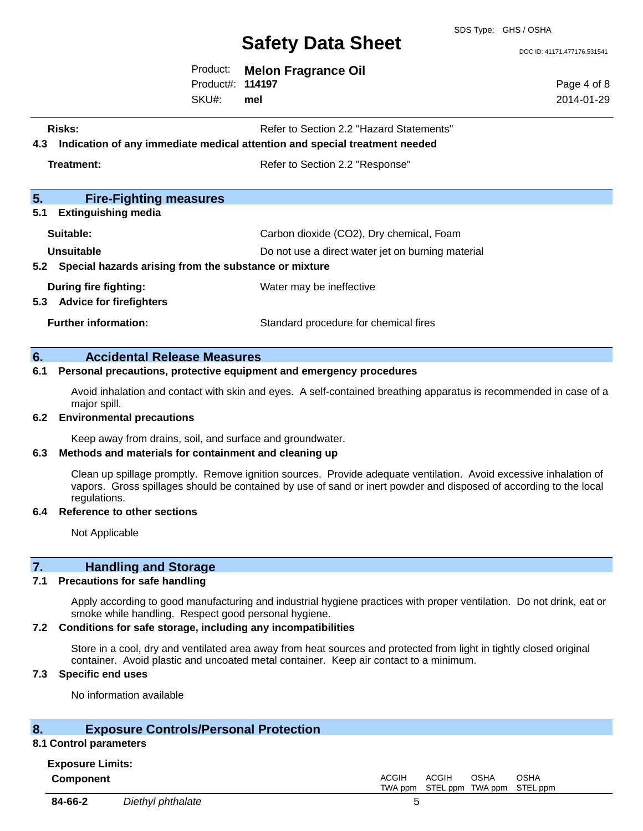SDS Type: GHS / OSHA

DOC ID: 41171.477176.531541

Page 4 of 8 2014-01-29

Product: **Melon Fragrance Oil** Product#: **114197**

SKU#: **mel**

- **Risks:** Risks: Refer to Section 2.2 "Hazard Statements"
- **4.3 Indication of any immediate medical attention and special treatment needed**

**Treatment:** Treatment: Treatment: Refer to Section 2.2 "Response"

| 5.<br><b>Fire-Fighting measures</b>                            |                                                   |
|----------------------------------------------------------------|---------------------------------------------------|
| <b>Extinguishing media</b><br>5.1                              |                                                   |
| Suitable:                                                      | Carbon dioxide (CO2), Dry chemical, Foam          |
| Unsuitable                                                     | Do not use a direct water jet on burning material |
| 5.2 Special hazards arising from the substance or mixture      |                                                   |
| During fire fighting:<br><b>Advice for firefighters</b><br>5.3 | Water may be ineffective                          |
| <b>Further information:</b>                                    | Standard procedure for chemical fires             |

### **6. Accidental Release Measures**

#### **6.1 Personal precautions, protective equipment and emergency procedures**

Avoid inhalation and contact with skin and eyes. A self-contained breathing apparatus is recommended in case of a major spill.

#### **6.2 Environmental precautions**

Keep away from drains, soil, and surface and groundwater.

#### **6.3 Methods and materials for containment and cleaning up**

Clean up spillage promptly. Remove ignition sources. Provide adequate ventilation. Avoid excessive inhalation of vapors. Gross spillages should be contained by use of sand or inert powder and disposed of according to the local regulations.

#### **6.4 Reference to other sections**

Not Applicable

# **7. Handling and Storage**

#### **7.1 Precautions for safe handling**

Apply according to good manufacturing and industrial hygiene practices with proper ventilation. Do not drink, eat or smoke while handling. Respect good personal hygiene.

# **7.2 Conditions for safe storage, including any incompatibilities**

Store in a cool, dry and ventilated area away from heat sources and protected from light in tightly closed original container. Avoid plastic and uncoated metal container. Keep air contact to a minimum.

# **7.3 Specific end uses**

No information available

# **8. Exposure Controls/Personal Protection**

#### **8.1 Control parameters**

| <b>Exposure Limits:</b> |  |
|-------------------------|--|
| Component               |  |

**Component** ACGIH TWA ppm ACGIH STEL ppm TWA ppm STEL ppm OSHA OSHA **84-66-2** *Diethyl phthalate* 5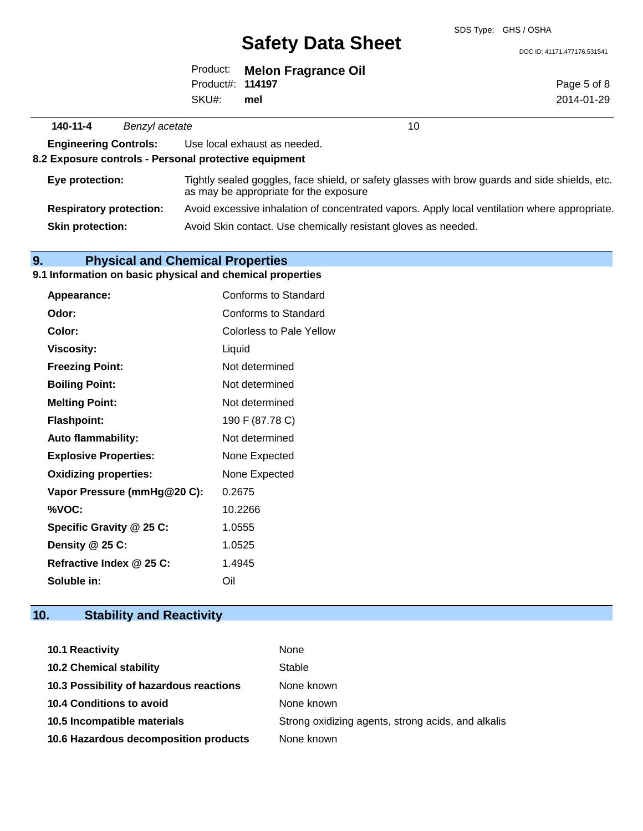DOC ID: 41171.477176.531541

Page 5 of 8 2014-01-29

|                  | Product: Melon Fragrance Oil |
|------------------|------------------------------|
| Product#: 114197 |                              |
| SKU#: mel        |                              |

**140-11-4** *Benzyl acetate* 10 **Engineering Controls:** Use local exhaust as needed. **8.2 Exposure controls - Personal protective equipment Eye protection:** Tightly sealed goggles, face shield, or safety glasses with brow guards and side shields, etc. as may be appropriate for the exposure **Respiratory protection:** Avoid excessive inhalation of concentrated vapors. Apply local ventilation where appropriate. **Skin protection:** Avoid Skin contact. Use chemically resistant gloves as needed.

# **9. Physical and Chemical Properties**

### **9.1 Information on basic physical and chemical properties**

| <b>Appearance:</b>           | Conforms to Standard     |
|------------------------------|--------------------------|
| Odor:                        | Conforms to Standard     |
| Color:                       | Colorless to Pale Yellow |
| Viscosity:                   | Liquid                   |
| <b>Freezing Point:</b>       | Not determined           |
| <b>Boiling Point:</b>        | Not determined           |
| <b>Melting Point:</b>        | Not determined           |
| <b>Flashpoint:</b>           | 190 F (87.78 C)          |
| <b>Auto flammability:</b>    | Not determined           |
| <b>Explosive Properties:</b> | None Expected            |
| <b>Oxidizing properties:</b> | None Expected            |
| Vapor Pressure (mmHg@20 C):  | 0.2675                   |
| %VOC:                        | 10.2266                  |
| Specific Gravity @ 25 C:     | 1.0555                   |
| Density @ 25 C:              | 1.0525                   |
| Refractive Index @ 25 C:     | 1.4945                   |
| Soluble in:                  | Oil                      |

# **10. Stability and Reactivity**

| <b>10.1 Reactivity</b>                  | None                                               |
|-----------------------------------------|----------------------------------------------------|
| <b>10.2 Chemical stability</b>          | Stable                                             |
| 10.3 Possibility of hazardous reactions | None known                                         |
| 10.4 Conditions to avoid                | None known                                         |
| 10.5 Incompatible materials             | Strong oxidizing agents, strong acids, and alkalis |
| 10.6 Hazardous decomposition products   | None known                                         |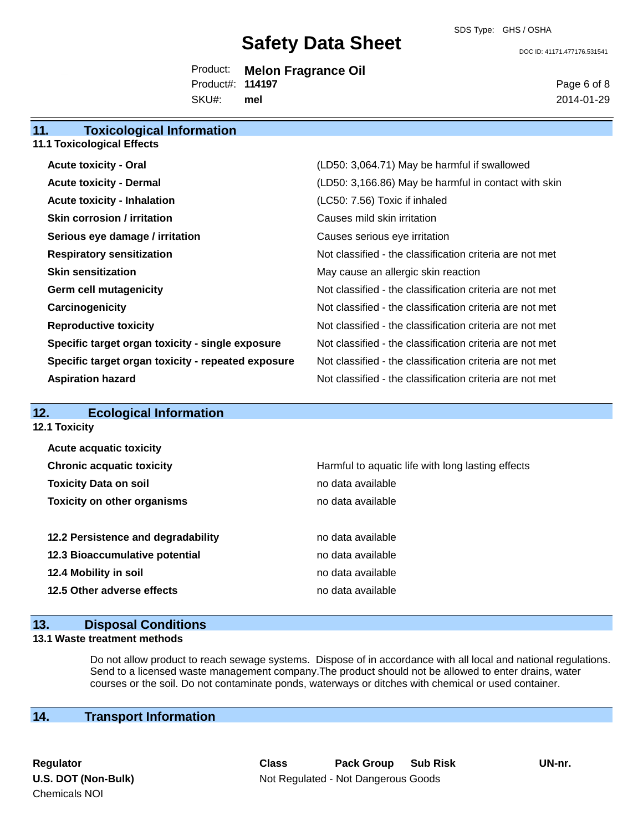DOC ID: 41171.477176.531541

Product: **Melon Fragrance Oil** SKU#: Product#: **114197 mel**

Page 6 of 8 2014-01-29

# **11. Toxicological Information 11.1 Toxicological Effects Acute toxicity - Oral** (LD50: 3,064.71) May be harmful if swallowed **Acute toxicity - Dermal Contact Acute 10. In the set of the CLD50: 3,166.86)** May be harmful in contact with skin **Acute toxicity - Inhalation** (LC50: 7.56) Toxic if inhaled **Skin corrosion / irritation** and the control of Causes mild skin irritation **Serious eye damage / irritation** Causes serious eye irritation **Respiratory sensitization** Not classified - the classification criteria are not met **Skin sensitization** May cause an allergic skin reaction **Germ cell mutagenicity Not classified - the classification criteria are not met Carcinogenicity Carcinogenicity Not classified - the classification criteria are not met Reproductive toxicity** Not classified - the classification criteria are not met **Specific target organ toxicity - single exposure** Not classified - the classification criteria are not met **Specific target organ toxicity - repeated exposure** Not classified - the classification criteria are not met **Aspiration hazard** Not classified - the classification criteria are not met

| 12.<br><b>Ecological Information</b> |                                                   |
|--------------------------------------|---------------------------------------------------|
| <b>12.1 Toxicity</b>                 |                                                   |
| <b>Acute acquatic toxicity</b>       |                                                   |
| <b>Chronic acquatic toxicity</b>     | Harmful to aquatic life with long lasting effects |
| <b>Toxicity Data on soil</b>         | no data available                                 |
| <b>Toxicity on other organisms</b>   | no data available                                 |
| 12.2 Persistence and degradability   | no data available                                 |
| 12.3 Bioaccumulative potential       | no data available                                 |
| 12.4 Mobility in soil                | no data available                                 |
| 12.5 Other adverse effects           | no data available                                 |
|                                      |                                                   |

# **13. Disposal Conditions**

#### **13.1 Waste treatment methods**

Do not allow product to reach sewage systems. Dispose of in accordance with all local and national regulations. Send to a licensed waste management company.The product should not be allowed to enter drains, water courses or the soil. Do not contaminate ponds, waterways or ditches with chemical or used container.

# **14. Transport Information**

Chemicals NOI

**Regulator Class Pack Group Sub Risk UN-nr. U.S. DOT (Non-Bulk)** Not Regulated - Not Dangerous Goods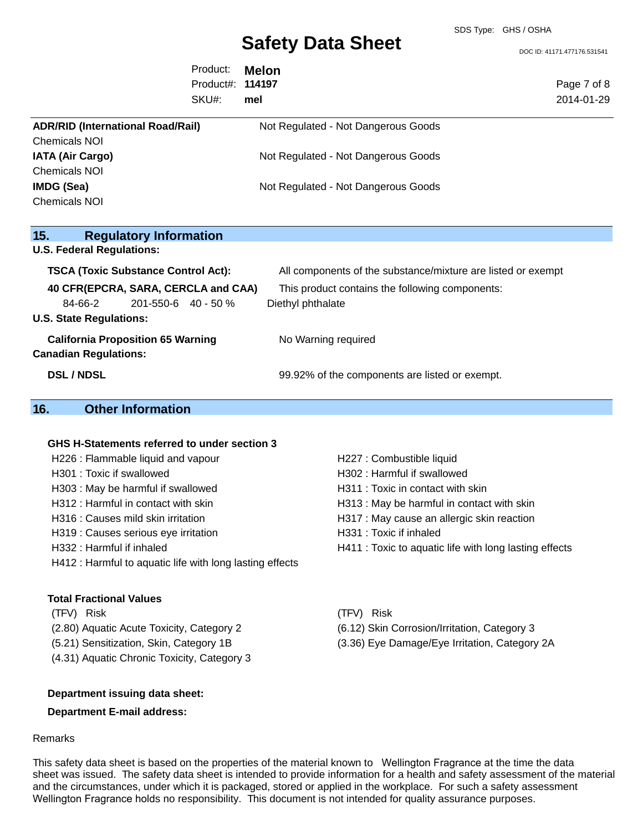DOC ID: 41171.477176.531541

|                                                                                                         | Product:<br>Product#:<br>SKU#: | <b>Melon</b><br>114197<br>mel                                        | Page 7 of 8<br>2014-01-29 |
|---------------------------------------------------------------------------------------------------------|--------------------------------|----------------------------------------------------------------------|---------------------------|
| <b>ADR/RID (International Road/Rail)</b><br>Chemicals NOI                                               |                                | Not Regulated - Not Dangerous Goods                                  |                           |
| <b>IATA (Air Cargo)</b><br><b>Chemicals NOI</b>                                                         |                                | Not Regulated - Not Dangerous Goods                                  |                           |
| IMDG (Sea)<br><b>Chemicals NOI</b>                                                                      |                                | Not Regulated - Not Dangerous Goods                                  |                           |
| <b>Regulatory Information</b><br>15.<br><b>U.S. Federal Regulations:</b>                                |                                |                                                                      |                           |
| <b>TSCA (Toxic Substance Control Act):</b>                                                              |                                | All components of the substance/mixture are listed or exempt         |                           |
| 40 CFR(EPCRA, SARA, CERCLA and CAA)<br>201-550-6 40 - 50 %<br>84-66-2<br><b>U.S. State Regulations:</b> |                                | This product contains the following components:<br>Diethyl phthalate |                           |
| <b>California Proposition 65 Warning</b><br><b>Canadian Regulations:</b>                                |                                | No Warning required                                                  |                           |
| <b>DSL / NDSL</b>                                                                                       |                                | 99.92% of the components are listed or exempt.                       |                           |

# **16. Other Information**

# **GHS H-Statements referred to under section 3**

| H226 : Flammable liquid and vapour                       | H227 : Combustible liquid                              |
|----------------------------------------------------------|--------------------------------------------------------|
| H301 : Toxic if swallowed                                | H302: Harmful if swallowed                             |
| H303 : May be harmful if swallowed                       | H311 : Toxic in contact with skin                      |
| H312 : Harmful in contact with skin                      | H313 : May be harmful in contact with skin             |
| H316 : Causes mild skin irritation                       | H317 : May cause an allergic skin reaction             |
| H319 : Causes serious eye irritation                     | H331: Toxic if inhaled                                 |
| H332: Harmful if inhaled                                 | H411 : Toxic to aquatic life with long lasting effects |
| H412 : Harmful to aquatic life with long lasting effects |                                                        |

#### **Total Fractional Values**

(TFV) Risk (TFV) Risk (2.80) Aquatic Acute Toxicity, Category 2 (6.12) Skin Corrosion/Irritation, Category 3 (4.31) Aquatic Chronic Toxicity, Category 3

- -
- (5.21) Sensitization, Skin, Category 1B (3.36) Eye Damage/Eye Irritation, Category 2A

### **Department issuing data sheet:**

#### **Department E-mail address:**

### Remarks

This safety data sheet is based on the properties of the material known to Wellington Fragrance at the time the data sheet was issued. The safety data sheet is intended to provide information for a health and safety assessment of the material and the circumstances, under which it is packaged, stored or applied in the workplace. For such a safety assessment Wellington Fragrance holds no responsibility. This document is not intended for quality assurance purposes.